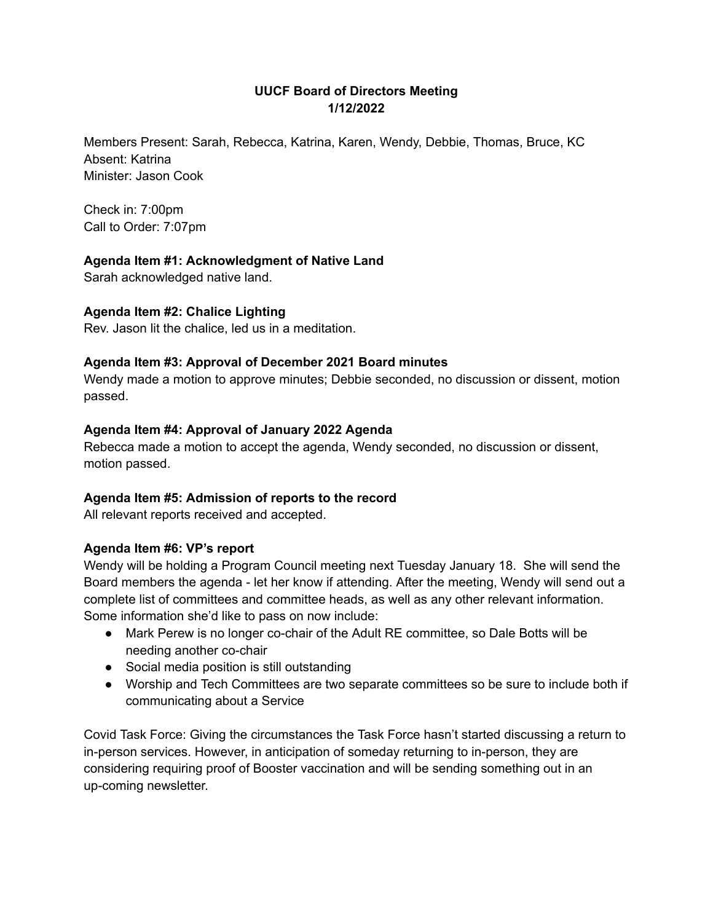# **UUCF Board of Directors Meeting 1/12/2022**

Members Present: Sarah, Rebecca, Katrina, Karen, Wendy, Debbie, Thomas, Bruce, KC Absent: Katrina Minister: Jason Cook

Check in: 7:00pm Call to Order: 7:07pm

# **Agenda Item #1: Acknowledgment of Native Land**

Sarah acknowledged native land.

## **Agenda Item #2: Chalice Lighting**

Rev. Jason lit the chalice, led us in a meditation.

## **Agenda Item #3: Approval of December 2021 Board minutes**

Wendy made a motion to approve minutes; Debbie seconded, no discussion or dissent, motion passed.

## **Agenda Item #4: Approval of January 2022 Agenda**

Rebecca made a motion to accept the agenda, Wendy seconded, no discussion or dissent, motion passed.

## **Agenda Item #5: Admission of reports to the record**

All relevant reports received and accepted.

## **Agenda Item #6: VP's report**

Wendy will be holding a Program Council meeting next Tuesday January 18. She will send the Board members the agenda - let her know if attending. After the meeting, Wendy will send out a complete list of committees and committee heads, as well as any other relevant information. Some information she'd like to pass on now include:

- Mark Perew is no longer co-chair of the Adult RE committee, so Dale Botts will be needing another co-chair
- Social media position is still outstanding
- Worship and Tech Committees are two separate committees so be sure to include both if communicating about a Service

Covid Task Force: Giving the circumstances the Task Force hasn't started discussing a return to in-person services. However, in anticipation of someday returning to in-person, they are considering requiring proof of Booster vaccination and will be sending something out in an up-coming newsletter.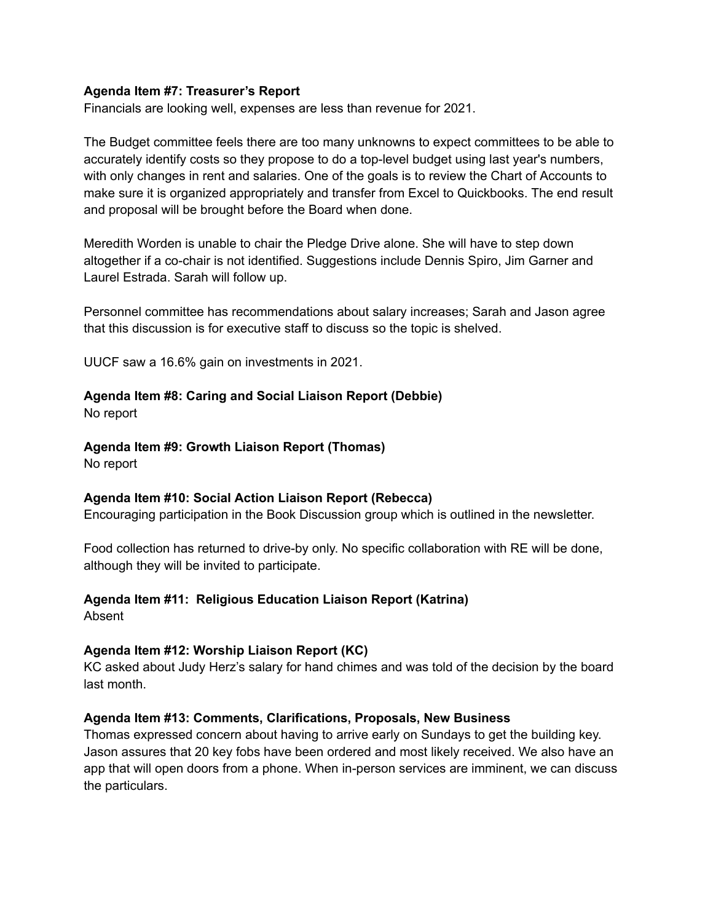#### **Agenda Item #7: Treasurer's Report**

Financials are looking well, expenses are less than revenue for 2021.

The Budget committee feels there are too many unknowns to expect committees to be able to accurately identify costs so they propose to do a top-level budget using last year's numbers, with only changes in rent and salaries. One of the goals is to review the Chart of Accounts to make sure it is organized appropriately and transfer from Excel to Quickbooks. The end result and proposal will be brought before the Board when done.

Meredith Worden is unable to chair the Pledge Drive alone. She will have to step down altogether if a co-chair is not identified. Suggestions include Dennis Spiro, Jim Garner and Laurel Estrada. Sarah will follow up.

Personnel committee has recommendations about salary increases; Sarah and Jason agree that this discussion is for executive staff to discuss so the topic is shelved.

UUCF saw a 16.6% gain on investments in 2021.

## **Agenda Item #8: Caring and Social Liaison Report (Debbie)**

No report

## **Agenda Item #9: Growth Liaison Report (Thomas)**

No report

## **Agenda Item #10: Social Action Liaison Report (Rebecca)**

Encouraging participation in the Book Discussion group which is outlined in the newsletter.

Food collection has returned to drive-by only. No specific collaboration with RE will be done, although they will be invited to participate.

# **Agenda Item #11: Religious Education Liaison Report (Katrina)**

Absent

## **Agenda Item #12: Worship Liaison Report (KC)**

KC asked about Judy Herz's salary for hand chimes and was told of the decision by the board last month.

## **Agenda Item #13: Comments, Clarifications, Proposals, New Business**

Thomas expressed concern about having to arrive early on Sundays to get the building key. Jason assures that 20 key fobs have been ordered and most likely received. We also have an app that will open doors from a phone. When in-person services are imminent, we can discuss the particulars.